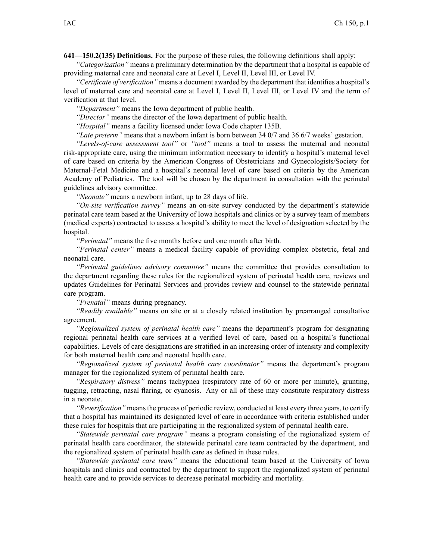**641—150.2(135) Definitions.** For the purpose of these rules, the following definitions shall apply:

*"Categorization"* means <sup>a</sup> preliminary determination by the department that <sup>a</sup> hospital is capable of providing maternal care and neonatal care at Level I, Level II, Level III, or Level IV.

*"Certificate of verification"* means <sup>a</sup> document awarded by the department that identifies <sup>a</sup> hospital's level of maternal care and neonatal care at Level I, Level II, Level III, or Level IV and the term of verification at that level.

*"Department"* means the Iowa department of public health.

*"Director"* means the director of the Iowa department of public health.

*"Hospital"* means <sup>a</sup> facility licensed under Iowa Code chapter [135B](https://www.legis.iowa.gov/docs/ico/chapter/135B.pdf).

*"Late preterm"* means that <sup>a</sup> newborn infant is born between 34 0/7 and 36 6/7 weeks' gestation.

*"Levels-of-care assessment tool"* or *"tool"* means <sup>a</sup> tool to assess the maternal and neonatal risk-appropriate care, using the minimum information necessary to identify <sup>a</sup> hospital's maternal level of care based on criteria by the American Congress of Obstetricians and Gynecologists/Society for Maternal-Fetal Medicine and <sup>a</sup> hospital's neonatal level of care based on criteria by the American Academy of Pediatrics. The tool will be chosen by the department in consultation with the perinatal guidelines advisory committee.

*"Neonate"* means <sup>a</sup> newborn infant, up to 28 days of life.

*"On-site verification survey"* means an on-site survey conducted by the department's statewide perinatal care team based at the University of Iowa hospitals and clinics or by <sup>a</sup> survey team of members (medical experts) contracted to assess <sup>a</sup> hospital's ability to meet the level of designation selected by the hospital.

*"Perinatal"* means the five months before and one month after birth.

*"Perinatal center"* means <sup>a</sup> medical facility capable of providing complex obstetric, fetal and neonatal care.

*"Perinatal guidelines advisory committee"* means the committee that provides consultation to the department regarding these rules for the regionalized system of perinatal health care, reviews and updates Guidelines for Perinatal Services and provides review and counsel to the statewide perinatal care program.

*"Prenatal"* means during pregnancy.

*"Readily available"* means on site or at <sup>a</sup> closely related institution by prearranged consultative agreement.

*"Regionalized system of perinatal health care"* means the department's program for designating regional perinatal health care services at <sup>a</sup> verified level of care, based on <sup>a</sup> hospital's functional capabilities. Levels of care designations are stratified in an increasing order of intensity and complexity for both maternal health care and neonatal health care.

*"Regionalized system of perinatal health care coordinator"* means the department's program manager for the regionalized system of perinatal health care.

*"Respiratory distress"* means tachypnea (respiratory rate of 60 or more per minute), grunting, tugging, retracting, nasal flaring, or cyanosis. Any or all of these may constitute respiratory distress in <sup>a</sup> neonate.

*"Reverification"* meansthe process of periodic review, conducted at least every three years, to certify that <sup>a</sup> hospital has maintained its designated level of care in accordance with criteria established under these rules for hospitals that are participating in the regionalized system of perinatal health care.

*"Statewide perinatal care program"* means <sup>a</sup> program consisting of the regionalized system of perinatal health care coordinator, the statewide perinatal care team contracted by the department, and the regionalized system of perinatal health care as defined in these rules.

*"Statewide perinatal care team"* means the educational team based at the University of Iowa hospitals and clinics and contracted by the department to suppor<sup>t</sup> the regionalized system of perinatal health care and to provide services to decrease perinatal morbidity and mortality.